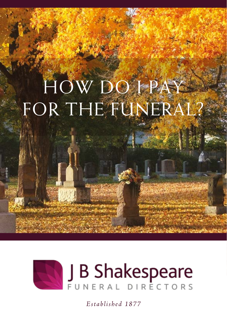## HOW DO I PAY FOR THE FUNERAL



*Established 1877*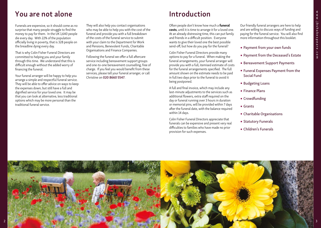## You are not alone

Funerals are expensive, so it should come as no surprise that many people struggle to find the money to pay for them. In the UK 1,640 people die every day. With 22% of the population officially living in poverty, that is 328 people on the breadline dying every day.

That is why Colin Fisher Funeral Directors are committed to helping you and your family through this time. We understand that this is difficult enough without the added worry of financing the funeral.

Your funeral arranger will be happy to help you arrange a simple and respectful funeral service. They will be able to offer advice on ways to keep the expenses down, but still have a full and dignified service for your loved one. It may be that you can look at alternative, less traditional options which may be more personal than the traditional funeral service.

They will also help you contact organisations who may be able to help you with the cost of the funeral and provide you with a full breakdown of the costs of the funeral service to submit with your claim to the Department for Work and Pensions, Benevolent Funds, Charitable Organisations and Finance Companies.

Following the funeral we offer a full aftercare service including bereavement support groups and one-to-one bereavement counselling, free of charge. If you feel you would benefit from these services, please tell your funeral arranger, or call Christine on 020 8660 5547.

## Introduction

Often people don't know how much a funeral costs, until it is time to arrange it for a loved one. At an already distressing time, this can put family and friends in a difficult position. Everyone wants to give their loved one the best possible send-off, but how do you pay for the funeral?

Colin Fisher Funeral Directors provide many options to pay for a funeral. When making the funeral arrangements, your funeral arranger will provide you with a full, itemised estimate of costs for the funeral arrangements specified. The full amount shown on the estimate needs to be paid in full two days prior to the funeral to avoid it being postponed.

A full and final invoice, which may include any last-minute adjustments to the services such as additional flowers, extra staff required on the day or funeral running over 3 hours in duration or memorial pins, will be provided within 7 days after the funeral date, with the balance required within 14 days.

Colin Fisher Funeral Directors appreciate that funerals can be expensive and present very real difficulties to families who have made no prior provision for such expenses.

Our friendly funeral arrangers are here to help and are willing to discuss ways of funding and paying for the funeral service. You will also find more information throughout this booklet.

- Payment from your own funds
- Payment from the Deceased's Estate
- Bereavement Support Payments
- Funeral Expenses Payment from the Social Fund
- Budgeting Loans
- Finance Plans
- Crowdfunding
- Grants
- Charitable Organisations
- Statutory Funerals
- Children's Funerals

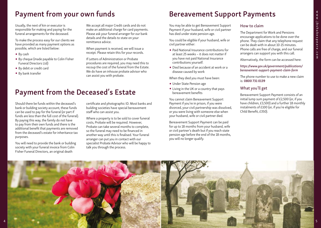## Payment from your own funds

Usually, the next of kin or executor is responsible for making and paying for the funeral arrangements for the deceased.

To make the process easy for our clients we have provided as many payment options as possible, which are listed below:

- By cash
- By cheque (made payable to Colin Fisher Funeral Directors Ltd)
- By debit or credit card
- By bank transfer

We accept all major Credit cards and do not make an additional charge for card payments. Please ask your funeral arranger for our bank details and the details to state on your remittance advice.

When payment is received, we will issue a receipt. Please retain this for your records.

If Letters of Administration or Probate procedures are required, you may need this to recoup the cost of the funeral from the Estate. We do have an inhouse probate advisor who can assist you with probate.

## Payment from the Deceased's Estate

Should there be funds within the deceased's bank or building society account, these funds can be used to pay for the funeral (or part if funds are less than the full cost of the funeral). By paying this way, the family do not have to pay from their own funds and there is the additional benefit that payments are removed from the deceased's estate for inheritance tax purposes.

You will need to provide the bank or building society with your funeral invoice from Colin Fisher Funeral Directors, an original death

certificate and photographic ID. Most banks and building societies have special bereavement staff who can assist you.

Where a property is to be sold to cover funeral costs, Probate will be required. However, Probate can take several months to complete, so the funeral may need to be financed in another way until this is finalised. Your funeral arranger can put you in contact with our specialist Probate Advisor who will be happy to talk you through the process.

## Bereavement Support Payments

You may be able to get Bereavement Support Payment if your husband, wife or civil partner has died under state pension age.

You could be eligible if your husband, wife or civil partner either:

- Paid National Insurance contributions for at least 25 weeks – it does not matter if you have not paid National Insurance contributions yourself.
- Died because of an accident at work or a disease caused by work

When they died you must have been:

- Under State Pension age
- Living in the UK or a country that pays bereavement benefits

You cannot claim Bereavement Support Payment if you're in prison, if you were divorced, your civil partnership was dissolved, or you were living with someone else when your husband, wife or civil partner died.

Bereavement Support Payment can be paid for up to 18 months from your husband, wife or civil partner's death but if you reach state pension age before the end of the 18 months, you will no longer qualify.

#### How to claim

The Department for Work and Pensions encourage applications to be done over the phone. They claim that any telephone request can be dealt with in about 10-15 minutes. Phone calls are free of charge, and our funeral arrangers can support you with this call.

Alternatively, the form can be accessed here:

#### *https://www.gov.uk/government/publications/ bereavement-support-payment-claim-form*

The phone number to use to make a new claim is: 0800 731 0139

#### What you'll get

Bereavement Support Payment consists of an initial lump sum payment of £2,500 (or, if you have children, £3,500) and a further 18 monthly instalments of £100 (or, if you're eligible for Child Benefit, £350).

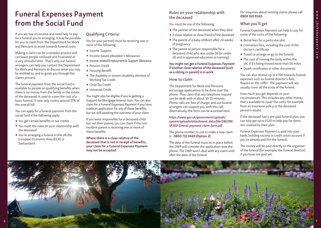## Funeral Expenses Payment from the Social Fund

If you are low on income and need help to pay for a funeral you're arranging, It may be possible for you to claim from the Department for Work and Pensions to assist towards funeral costs.

Making a claim can be a complex process and can leave people confused and frustrated at a very stressful time. That's why our funeral arrangers can help you contact the Department for Work and Pensions to discuss what you may be entitled to, and to guide you through the claims process.

The funeral payment from the social fund is available to people on qualifying benefits when there is no money from the family or the estate of the deceased. It used to cover the cost of a basic funeral. It now only covers around 37% of the overall bill.

You can apply for a funeral payment from the social fund if the following apply:

- You get certain benefits or tax credits
- You meet the rules on your relationship with the deceased
- You're arranging a funeral in the UK,the European Economic Area (EEA) or Switzerland

#### Qualifying Criteria:

You (or your partner) must be receiving one or more of the following:

- •Income Support
- •Income-based Jobseeker's Allowance
- •Income-related Employment & Support Allowance
- Pension Credit
- Housing Benefit
- The disability or severe-disability element of Working Tax Credit
- Child Tax Credit
- Universal Credit

You might also be eligible if you're getting a Support for Mortgage Interest loan. You can also claim for a Funeral Expenses Payment if you have made an application for any of these benefits, but are still awaiting the outcome of your claim.

If you were responsible for a deceased child but not their parent, you can claim if the nonresident parent is receiving one or more of these benefits.

Where there is a close relative of the deceased that is not in receipt of benefits, your claim for a Funeral Expenses Payment may not be accepted.

#### Rules on your relationship with the deceased

You must be one of the following:

- The partner of the deceased when they died
- A close relative or close friend of the deceased
- The parent of a baby stillborn after 24 weeks of pregnancy
- The parent or person responsible for a deceased child who was under 16 (or under 20 and in approved education or training).

#### You might not get a Funeral Expenses Payment if another close relative of the deceased (such as a sibling or parent) is in work.

#### How to claim

The Department for Work and Pensions encourage applications to be done over the phone. They claim that any telephone request can be dealt with in about 10-15 minutes. Phone calls are free of charge, and our funeral arrangers can support you with this call. Alternatively, the form can be accessed here:

#### *https://www.gov.uk/government/uploads/ system/uploads/attachment\_data/file/586398/ SF200-funeral-payment-claim-form.pdf*

The phone number to use to make a new claim is: 0800 731 0469 (Option 2)

The date of the funeral must be in place before the DWP will consider the application over the phone. The DWP won't deal with any claim until after the date of the funeral.

For enquiries about existing claims please call 0800 169 0140.

#### What you'll get

Funeral Expenses Payment can help to pay for some of the costs of the following:

- Burial fees for a particular plot
- Cremation fees, including the cost of the doctor's certificate
- Travel to arrange or go to the funeral
- The cost of moving the body within the UK, if it's being moved more than 50 miles
- Death certificates or other documents

You can also receive up to £700 towards funeral expenses such as funeral director's fees, flowers or the coffin. The payment will not usually cover all the costs of the funeral.

How much you get depends on your circumstances. This includes any other money that's available to cover the costs, for example from an insurance policy or the deceased person's estate.

If the deceased had a pre-paid funeral plan, you can only get up to £120 to help pay for items not covered by their plan.

Funeral Expenses Payment is paid into your bank, building society or credit union account if you've already paid for the funeral.

The money will be paid directly to the organiser of the funeral (for example, the funeral director) if you have not paid yet.

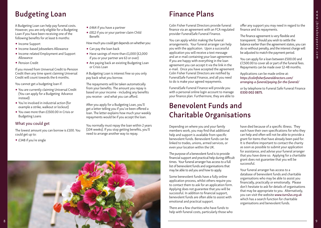# www.jbshakespeare.com www.jbshakespeare.com

## Budgeting Loan

A Budgeting Loan can help pay funeral costs. However, you are only eligible for a Budgeting Loan if you have been receiving one of the following benefits for at least 6 months:

- Income Support
- •Income-based Jobseekers Allowance
- •Income-related Employment and Support Allowance
- Pension Credit

If you moved from Universal Credit to Pension Credit then any time spent claiming Universal Credit will count towards the 6 months.

You cannot get a budgeting loan if:

- You are currently claiming Universal Credit (You can apply for a Budgeting Advance instead)
- You're involved in industrial action (for example a strike, walkout or lockout)
- You owe more than £1500.00 in Crisis or Budgeting Loans

#### What you could get

The lowest amount you can borrow is £100. You could get up to:

• £348 if you're single

- £464 if you have a partner
- £812 if you or your partner claim Child Benefit
- How much you could get depends on whether you:
- Can pay the loan back
- Have savings of more than £1,000 (£2,000 if you or your partner are 63 or over)
- Are paying back an existing Budgeting Loan or Crisis Loan

A Budgeting Loan is interest free so you only pay back what you borrow.

The repayments will be taken automatically from your benefits. The amount you repay is based on your income - including any benefits you receive - and what you can afford.

After you apply for a Budgeting Loan, you'll get a letter telling you if you've been offered a loan. The letter explains how much your weekly repayments would be if you accept the loan.

You normally must repay the loan within 2 years (104 weeks). If you stop getting benefits, you'll need to arrange another way to repay.

## Finance Plans

Colin Fisher Funeral Directors provide funeral finance via an agreement with an FCA regulated provider FuneralSafe Funeral Finance.

You can apply whilst making the funeral arrangements. Your funeral arranger can help you with the application. Upon a successful application you will receive a text message and an e-mail containing your loan agreement. If you are happy with everything in the loan agreement you can accept it via the link in the e-mail. Once you have accepted the agreement Colin Fisher Funeral Directors are notified by FuneralSafe Funeral Finance, and all you need to do is make your agreed repayments.

FuneralSafe Funeral Finance will provide you with a personal online login account to manage your finance plan. Furthermore, they are able to

## Benevolent Funds and Charitable Organisations

Depending on where you and your family members work, you may find that additional help and support is available from specific benevolent funds. Benevolent funds can be linked to trades, unions, armed services, or even your location within the UK.

The purpose of a benevolent fund is to provide financial support and practical help during difficult times. Your funeral arranger has access to a full list of benevolent funds and organisations that may be able to aid you and how to apply.

Some benevolent funds have a fully online application process, whilst others require you to contact them to ask for an application form. Applying does not guarantee that you will be successful. In addition to financial support, benevolent funds are often able to assist with emotional and practical support.

There are a few charities who have funds to help with funeral costs, particularly those who offer any support you may need in regard to the finance and its repayments.

The finance agreement is very flexible and transparent. Should you wish to settle the balance earlier than the agreement states, you can do so without penalty, and the interest charge will be adjusted to match the payment period.

You can apply for a loan between £500.00 and £7,500.00 to cover all or part of the funeral fees. Repayments can be made over 12-48 months.

Applications can be made online at: *https://colinfisherfuneraldirectors.com/ arranging-a-funeral/paying-for-the-funeral/*

or by telephone to Funeral Safe Funeral Finance 0330 002 0875.

have died because of a specific illness. They each have their own specifications for who they can help and often will not be able to provide a grant for items that have already been paid for. It is therefore important to contact the charity as soon as possible to submit your application for assistance, and advise your funeral arranger that you have done so. Applying for a charitable grant does not guarantee that you will be successful.

Your funeral arranger has access to a database of benevolent funds and charitable organisations who may be able to assist you financially, practically or emotionally. Please don't hesitate to ask for details of organisations that may be appropriate to you. Alternatively, you can visit the website *www.turn2us.org.uk* which has a search function for charitable organisations and benevolent funds.

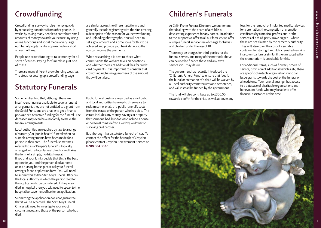# www.jbshakespeare.com www.jbshakespeare.com

## Crowdfunding

Crowdfunding is a way to raise money quickly by requesting donations from other people. It works by asking many people to contribute small amounts of money towards your cause. By using online functions and social media a very large number of people can be approached in a short amount of time.

People use crowdfunding to raise money for all sorts of causes. Paying for funerals is just one of these.

There are many different crowdfunding websites. The steps for setting up a crowdfunding page

## Statutory Funerals

Some families find that, although there are insufficient finances available to cover a funeral arrangement, they are not entitled to a grant from the Social Fund, and are unable to get a finance package or alternative funding for the funeral. The deceased may even have no family to make the funeral arrangements.

Local authorities are required by law to arrange a 'statutory' or 'public health' funeral when no suitable arrangements have been made for a person in their area. The funeral, sometimes referred to as a 'Pauper's funeral' is typically arranged with a local funeral director and takes the form of a simple, no-frills funeral. If you and your family decide that this is the best option for you, and the person died at home or in a nursing home, please ask your funeral arranger for an application form. You will need to submit this to the Statutory Funeral Officer in the local authority in which the person died for the application to be considered. If the person died in hospital then you will need to speak to the hospital bereavement office for an application.

Submitting the application does not guarantee that it will be accepted. The Statutory Funeral Officer will need to investigate your exact circumstances, and those of the person who has died.

are similar across the different platforms and generally include registering with the site, creating a description of the reason for your crowdfunding and uploading photographs. You will need to set a goal amount and a time scale for this to be achieved and provide your bank details so that you can receive the payments.

When researching it is best to check what commissions the website takes on donations, and whether there are additional fees for credit card payments. It is important to consider that crowdfunding has no guarantees of the amount that will be raised.

Public funeral costs are regarded as a civil debt and local authorities have up to three years to reclaim some, or all, of a public funeral's costs from the estate of the person who has died. The estate includes any money, savings or property that someone had, but does not include a house or personal things left to a widow, widower or surviving civil partner.

Each borough has a statutory funeral officer. To contact the officer for the borough of Croydon please contact Croydon Bereavement Service on 0208 684 3877.

## Children's Funerals

At Colin Fisher Funeral Directors we understand that dealing with the death of a child is a devastating experience for any parent. In addition to the support we offer to all our families, we offer a simple funeral service free of charge for babies and children under the age of 18.

There may be charges for third-parties for the funeral service, and many of the methods above can be used to finance these and any extra services you may desire.

The government has recently introduced the 'Children's Funeral Fund' to ensure that fees for the burial or cremation of a child will be waived by all local authority crematoriums and cemeteries, and will instead be funded by the government.

The fund will also contribute up to £300.00 towards a coffin for the child, as well as cover any

fees for the removal of implanted medical devices for a cremation, the completion of cremation certificates by a medical professional or the services of a third-party grave digger – where these are not claimed by the cemetery authority. They will also cover the cost of a suitable container for storing the child's cremated remains in a columbarium or similar if the urn supplied by the crematorium is unsuitable for this.

For additional items, such as flowers, orders of service, provision of additional vehicles etc, there are specific charitable organisations who can issue grants towards the cost of the funeral or a headstone. Your funeral arranger has access to a database of charitable organisations and benevolent funds who may be able to offer financial assistance at this time.